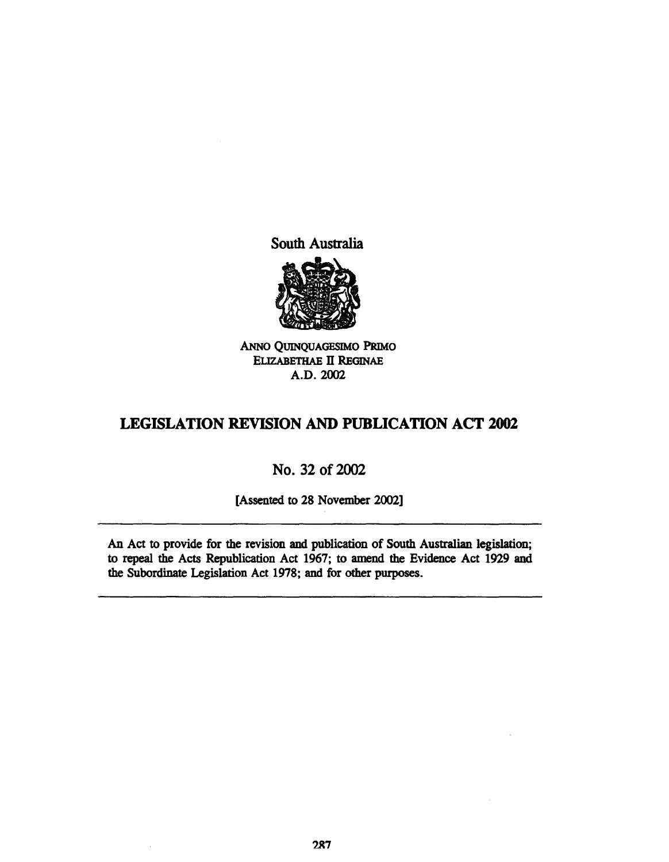South Australia



ANNO QUlNQUAGESIMO PRIMo ELIZABETHAE II REGINAE A.D.2002

# **LEGISLATION REVISION AND PUBLICATION ACT 2002**

# No. 32 of 2002

[Assented to 28 November 2002]

An Act to provide for the revision and publication of South Australian legislation; to repeal the Acts Republication Act 1967; to amend the Evidence Act 1929 and the Subordinate Legislation Act 1978; and for other purposes.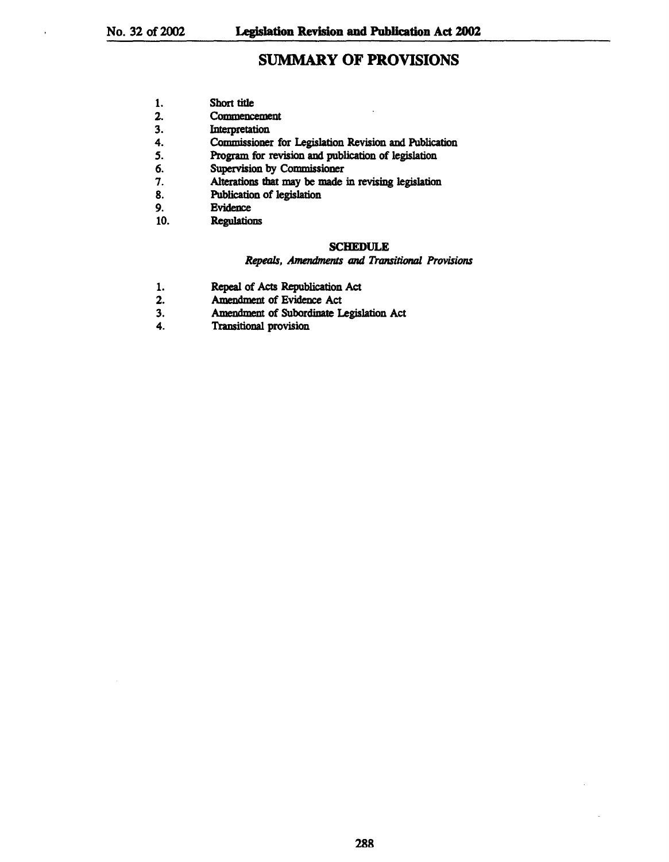# SUMMARY OF PROVISIONS

- 2. Commencement<br>3. Interpretation
- **Interpretation**
- 4. Commissioner for Legislation Revision and Publication
- 5. **Program for revision and publication of legislation**
- 6. Supervision by Commissioner<br>7. Alterations that may be made
- 7. Alterations that may be made in revising legislation<br>8. Publication of legislation
- Publication of legislation
- 9. Bvidence<br>10. Regulation
- **Regulations**

## SCHEDULE

#### *Repeals, Amendments and Transitional Provisions*

- 1. Repeal of Acts Republication Act
- 2. Amendment of Bvidence Act
- 3. Amendment of Subordinate Legislation Act
- 4. Transitional provision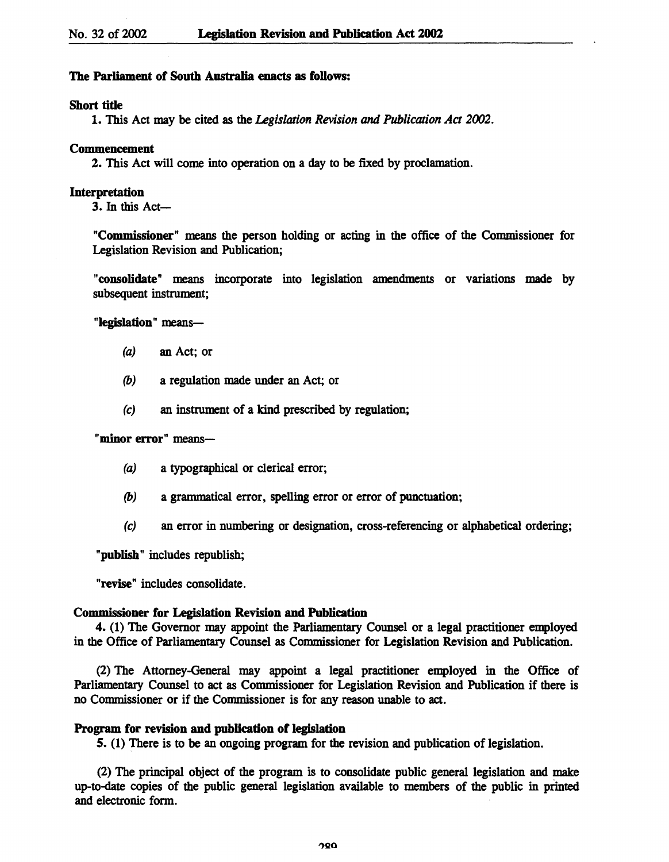## The Parliament of South Australia enacts as follows:

## Short tide

1. This Act may be cited as the *Legislation Revision and Publication Act 2002*.

#### Commencement

2. This Act will come into operation on a day to be fixed by proclamation.

#### Interpretation

3. In this Act-

"Commissioner" means the person holding or acting in the office of the Commissioner for Legislation Revision and Publication;

"consolidate" means incorporate into legislation amendments or variations made by subsequent instrument;

## "legislation" means-

- (a) an Act; or
- (b) a regulation made under an Act; or
- (c) an instrument of a kind prescribed by regulation;

## "minor error" means-

- (a) a typographical or clerical error;
- (b) a granunatical error, spelling error or error of punctuation;
- (c) an error in numbering or designation, cross-referencing or alphabetical ordering;

"publish" includes republish;

"revise" includes consolidate.

### Commissioner for Legislation Revision and Publication

4. (1) The Governor may appoint the Parliamentary Counsel or a legal practitioner employed in the Office of Parliamentary Counsel as Commissioner for Legislation Revision and Publication.

(2) The Attorney-General may appoint a legal practitioner employed in the Office of Parliamentary Counsel to act as Commissioner for Legislation Revision and Publication if there is no Commissioner or if the Commissioner is for any reason unable to act.

### Program for revision and publication of legislation

5. (1) There is to be an ongoing program for the revision and publication of legislation.

(2) The principal object of the program is to consolidate public general legislation and make up-to-date copies of the public general legislation available to members of the public in printed and electronic form.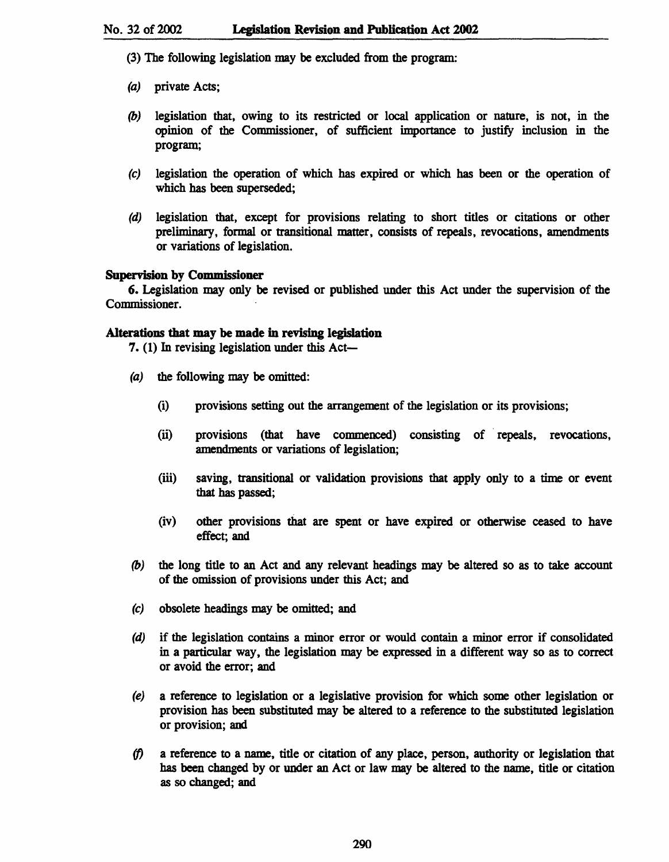- 
- (3) The following legislation may be excluded from the program:
- (a) private Acts;
- (b) legislation that, owing to its restricted or local application or nature, is not, in the opinion of the Commissioner, of sufficient importance to justify inclusion in the program;
- (c) legislation the operation of which has expired or which has been or the operation of which has been superseded;
- (d) legislation that, except for provisions relating to short titles or citations or other preliminary, formal or transitional matter, consists of repeals, revocations, amendments or variations of legislation.

## Supervision by Commissioner

6. Legislation may only be revised or published under this Act under the supervision of the Commissioner.

## Alterations that may be made in revising legislation

7.  $(1)$  In revising legislation under this Act-

- (a) the following may be omitted:
	- (i) provisions setting out the arrangement of the legislation or its provisions;
	- (ii) provisions (that have commenced) consisting of· repeals, revocations, amendments or variations of legislation;
	- (iii) saving, transitional or validation provisions that apply only to a time or event that has passed;
	- (iv) other provisions that are spent or have expired or otherwise ceased to have effect; and
- (b) the long title to an Act and any relevant headings may be altered so as to take account of the omission of provisions under this Act; and
- (c) obsolete headings may be omitted; and
- (d) if the legislation contains a minor error or would contain a minor error if consolidated in a particular way, the legislation may be expressed in a different way so as to correct or avoid the error; and
- (e) a reference to legislation or a legislative provision for which some other legislation or provision has been substituted may be altered to a reference to the substituted legislation or provision; and
- (f) a reference to a name, title or citation of any place, person, authority or legislation that has been changed by or under an Act or law may be altered to the name, title or citation as so changed; and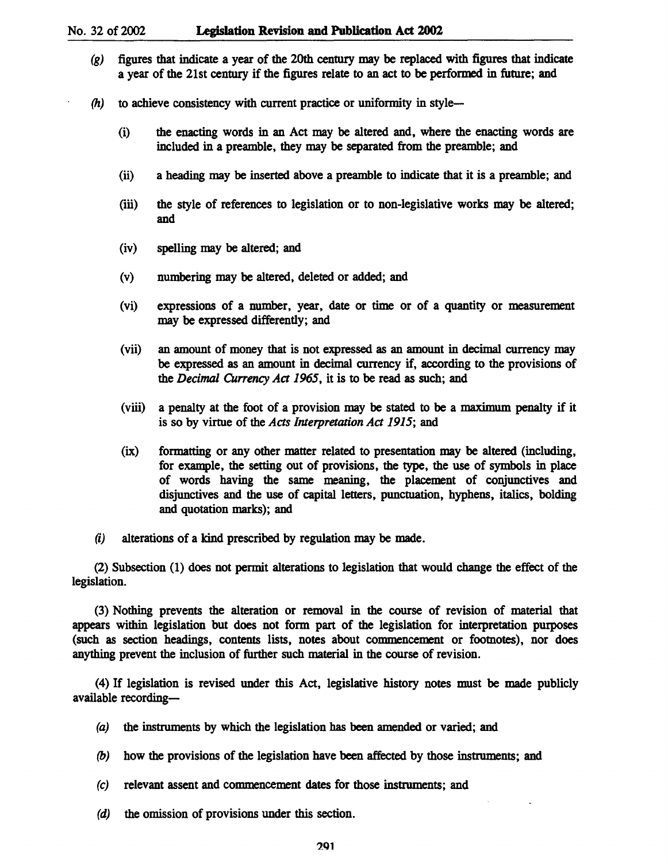- (g) figures that indicate a year of the 20th century may be replaced with figures that indicate a year of the 21st century if the figures relate to an act to be performed in future; and
- $(h)$  to achieve consistency with current practice or uniformity in style-
	- (i) the enacting words in an Act may be altered and, where the enacting words are included in a preamble, they may be separated from the preamble; and
	- (ii) a heading may be inserted above a preamble to indicate that it is a preamble; and
	- (iii) the style of references to legislation or to non-legislative works may be altered; and
	- (iv) spelling may be altered; and
	- (v) numbering may be altered, deleted or added; and
	- (vi) expressions of a number, year, date or time or of a quantity or measurement may be expressed differently; and
	- (vii) an amount of money that is not expressed as an amount in decimal currency may be expressed as an amount in decimal currency if, according to the provisions of the *Decimal Currency Act* 1965, it is to be read as such; and
	- (viii) a penalty at the foot of a provision may be stated to be a maximum penalty if it is so by virtue of the *Acts Interpretation Act* 1915; and
	- (ix) formatting or any other matter related to presentation may be altered (including, for example, the setting out of provisions, the type, the use of symbols in place of words having the same meaning, the placement of conjunctives and disjunctives and the use of capital letters, punctuation, hyphens, italics, bolding and quotation marks); and
- (i) alterations of a kind prescribed by regulation may be made.

(2) Subsection (1) does not permit alterations to legislation that would change the effect of the legislation.

(3) Nothing prevents the alteration or removal in the course of revision of material that appears within legislation but does not form part of the legislation for interpretation purposes (such as section headings, contents lists, notes about commencement or footnotes), nor does anything prevent the inclusion of further such material in the course of revision.

(4) If legislation is revised under this Act, legislative history notes must be made publicly available recording-

- (a) the instruments by which the legislation has been amended or varied; and
- (b) how the provisions of the legislation have been affected by those instruments; and
- (c) relevant assent and commencement dates for those instruments; and
- (d) the omission of provisions under this section.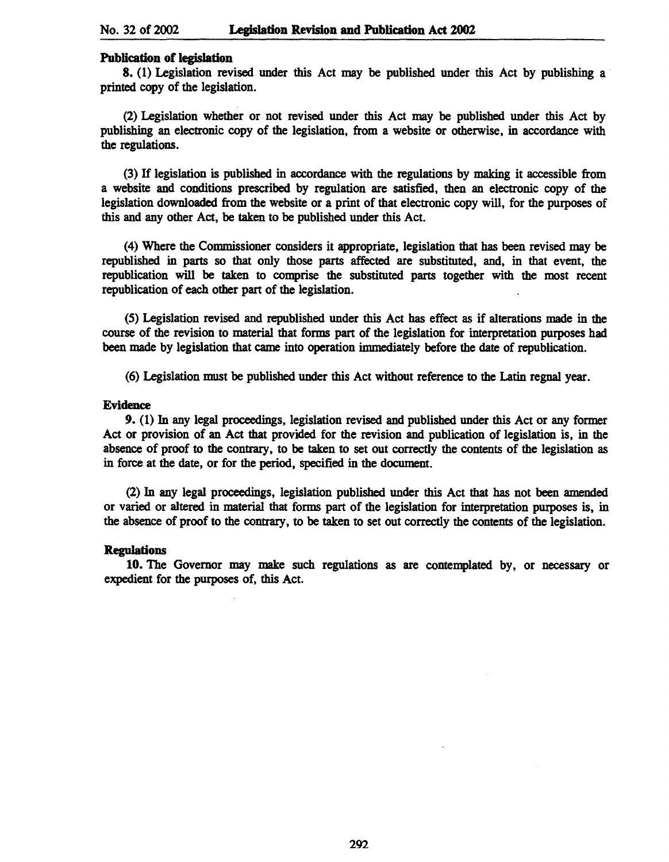#### Publication of legislation

8. (1) Legislation revised under this Act may be published under this Act by publishing a printed copy of the legislation.

(2) Legislation whether or not revised under this Act may be published under this Act by publishing an electronic copy of the legislation, from a website or otherwise, in accordance with the regulations.

(3) If legislation is published in accordance with the regulations by making it accessible from a website and conditions prescribed by regulation are satisfied, then an electronic copy of the legislation downloaded from the website or a print of that electronic copy will, for the purposes of this and any other Act, be taken to be published under this Act.

(4) Where the Commissioner considers it appropriate, legislation that has been revised may be republished in parts so that only those parts affected are substituted, and, in that event, the republication will be taken to comprise the substituted parts together with the most recent republication of each other part of the legislation.

(5) Legislation revised and republished under this Act has effect as if alterations made in the course of the revision to material that forms part of the legislation for interpretation purposes had been made by legislation that came into operation immediately before the date of republication.

(6) Legislation must be published under this Act without reference to the Latin regnal year.

### Evidence

9. (1) In any legal proceedings, legislation revised and published under this Act or any former Act or provision of an Act that provided for the revision and publication of legislation is, in the absence of proof to the contrary, to be taken to set out correctly the contents of the legislation as in force at the date, or for the period, specified in the document.

(2) In any legal proceedings, legislation published under this Act that has not been amended or varied or altered in material that forms part of the legislation for interpretation purposes is, in the absence of proof to the contrary, to be taken to set out correctly the contents of the legislation.

#### Regulations

10. The Governor may make such regulations as are contemplated by, or necessary or expedient for the purposes of, this Act.